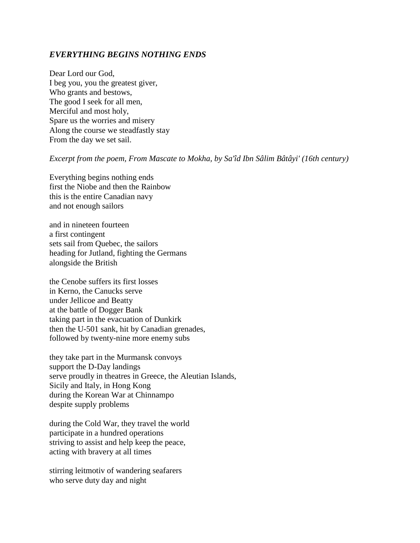## *EVERYTHING BEGINS NOTHING ENDS*

Dear Lord our God, I beg you, you the greatest giver, Who grants and bestows, The good I seek for all men, Merciful and most holy, Spare us the worries and misery Along the course we steadfastly stay From the day we set sail.

## *Excerpt from the poem, From Mascate to Mokha, by Sa'îd Ibn Sâlim Bâtâyi' (16th century)*

Everything begins nothing ends first the Niobe and then the Rainbow this is the entire Canadian navy and not enough sailors

and in nineteen fourteen a first contingent sets sail from Quebec, the sailors heading for Jutland, fighting the Germans alongside the British

the Cenobe suffers its first losses in Kerno, the Canucks serve under Jellicoe and Beatty at the battle of Dogger Bank taking part in the evacuation of Dunkirk then the U-501 sank, hit by Canadian grenades, followed by twenty-nine more enemy subs

they take part in the Murmansk convoys support the D-Day landings serve proudly in theatres in Greece, the Aleutian Islands, Sicily and Italy, in Hong Kong during the Korean War at Chinnampo despite supply problems

during the Cold War, they travel the world participate in a hundred operations striving to assist and help keep the peace, acting with bravery at all times

stirring leitmotiv of wandering seafarers who serve duty day and night